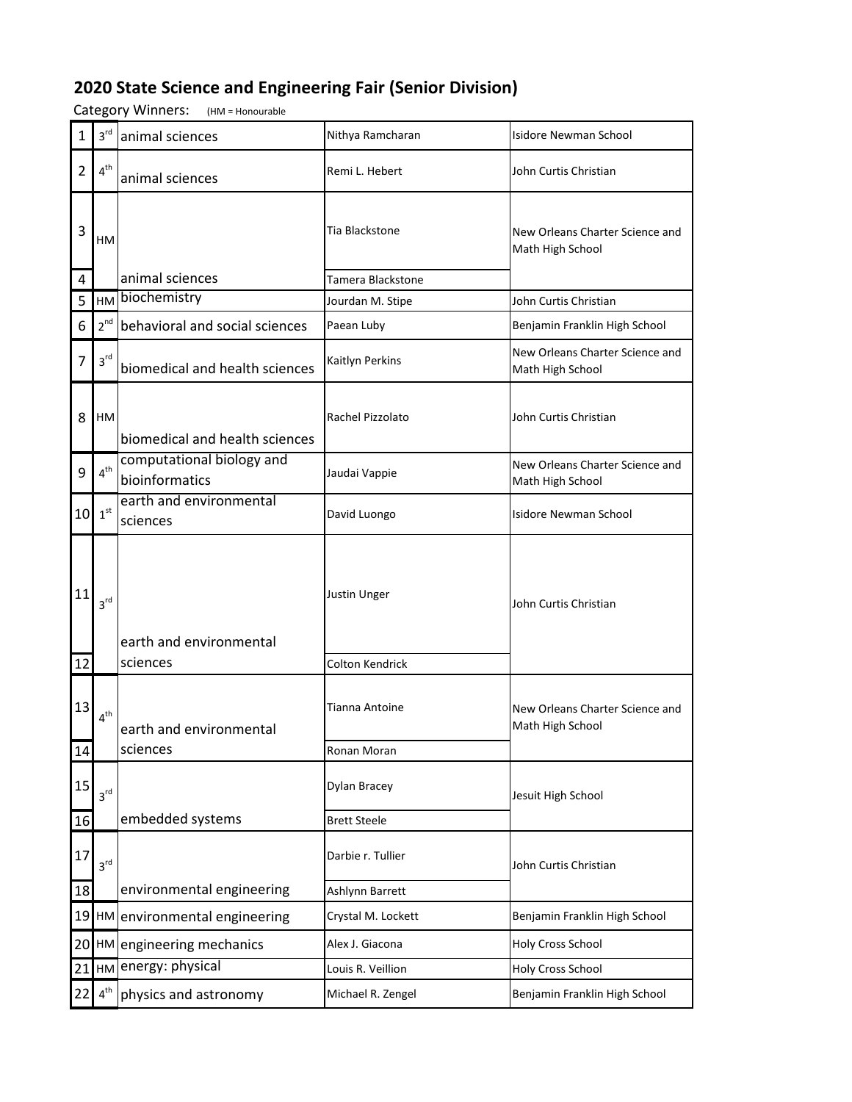## **2020 State Science and Engineering Fair (Senior Division)**

Category Winners: (HM = Honourable

| $\mathbf{1}$ | $3^{\text{rd}}$        | animal sciences                             | Nithya Ramcharan       | <b>Isidore Newman School</b>                        |
|--------------|------------------------|---------------------------------------------|------------------------|-----------------------------------------------------|
| 2            | 4 <sup>th</sup>        | animal sciences                             | Remi L. Hebert         | John Curtis Christian                               |
| 3            | HМ                     |                                             | Tia Blackstone         | New Orleans Charter Science and<br>Math High School |
| 4            |                        | animal sciences                             | Tamera Blackstone      |                                                     |
| 5            | HM                     | biochemistry                                | Jourdan M. Stipe       | John Curtis Christian                               |
| 6            | $2^{nd}$               | behavioral and social sciences              | Paean Luby             | Benjamin Franklin High School                       |
| 7            | $3^{\text{rd}}$        | biomedical and health sciences              | Kaitlyn Perkins        | New Orleans Charter Science and<br>Math High School |
| 8            | HM                     | biomedical and health sciences              | Rachel Pizzolato       | John Curtis Christian                               |
| 9            | $4^{\text{th}}$        | computational biology and<br>bioinformatics | Jaudai Vappie          | New Orleans Charter Science and<br>Math High School |
|              | $10^{15}$              | earth and environmental<br>sciences         | David Luongo           | <b>Isidore Newman School</b>                        |
| 11           | 3 <sup>rd</sup>        | earth and environmental                     | Justin Unger           | John Curtis Christian                               |
| 12           |                        | sciences                                    | <b>Colton Kendrick</b> |                                                     |
| 13           | 4 <sup>th</sup>        | earth and environmental                     | <b>Tianna Antoine</b>  | New Orleans Charter Science and<br>Math High School |
| 14           |                        | sciences                                    | Ronan Moran            |                                                     |
| 15           | $3^{\text{rd}}$        |                                             | Dylan Bracey           | Jesuit High School                                  |
| 16           |                        | embedded systems                            | <b>Brett Steele</b>    |                                                     |
| 17           | 3 <sup>rd</sup>        |                                             | Darbie r. Tullier      | John Curtis Christian                               |
| 18           |                        | environmental engineering                   | Ashlynn Barrett        |                                                     |
| 19           |                        | HM environmental engineering                | Crystal M. Lockett     | Benjamin Franklin High School                       |
|              |                        | 20 HM engineering mechanics                 | Alex J. Giacona        | <b>Holy Cross School</b>                            |
| 21           | HM                     | energy: physical                            | Louis R. Veillion      | Holy Cross School                                   |
| 22           | $\textbf{4}^\text{th}$ | physics and astronomy                       | Michael R. Zengel      | Benjamin Franklin High School                       |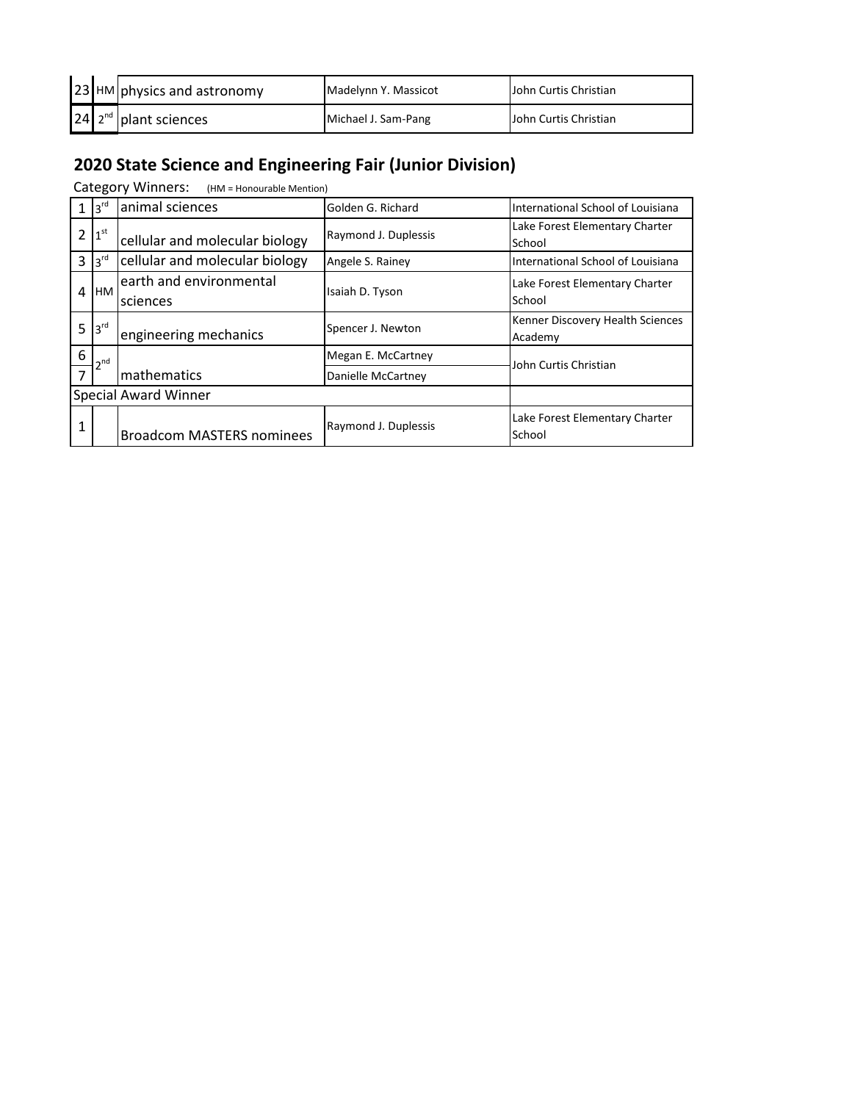|  | 23 HM physics and astronomy  | Madelynn Y. Massicot | <b>John Curtis Christian</b> |
|--|------------------------------|----------------------|------------------------------|
|  | $24$ $2^{nd}$ plant sciences | Michael J. Sam-Pang  | <b>John Curtis Christian</b> |

## **2020 State Science and Engineering Fair (Junior Division)**

Category Winners: (HM = Honourable Mention)

|                             | 3 <sup>rd</sup> | animal sciences                     | Golden G. Richard    | International School of Louisiana           |
|-----------------------------|-----------------|-------------------------------------|----------------------|---------------------------------------------|
| 2                           | 1 <sup>st</sup> | cellular and molecular biology      | Raymond J. Duplessis | Lake Forest Elementary Charter<br>School    |
| 3                           | 3 <sup>rd</sup> | cellular and molecular biology      | Angele S. Rainey     | International School of Louisiana           |
| 4                           | <b>HM</b>       | earth and environmental<br>sciences | Isaiah D. Tyson      | Lake Forest Elementary Charter<br>School    |
| 5                           | 3 <sup>rd</sup> | engineering mechanics               | Spencer J. Newton    | Kenner Discovery Health Sciences<br>Academy |
| 6                           | $\mathsf{h}$ nd |                                     | Megan E. McCartney   | John Curtis Christian                       |
| 7                           |                 | mathematics                         | Danielle McCartney   |                                             |
| <b>Special Award Winner</b> |                 |                                     |                      |                                             |
| 1                           |                 | <b>Broadcom MASTERS nominees</b>    | Raymond J. Duplessis | Lake Forest Elementary Charter<br>School    |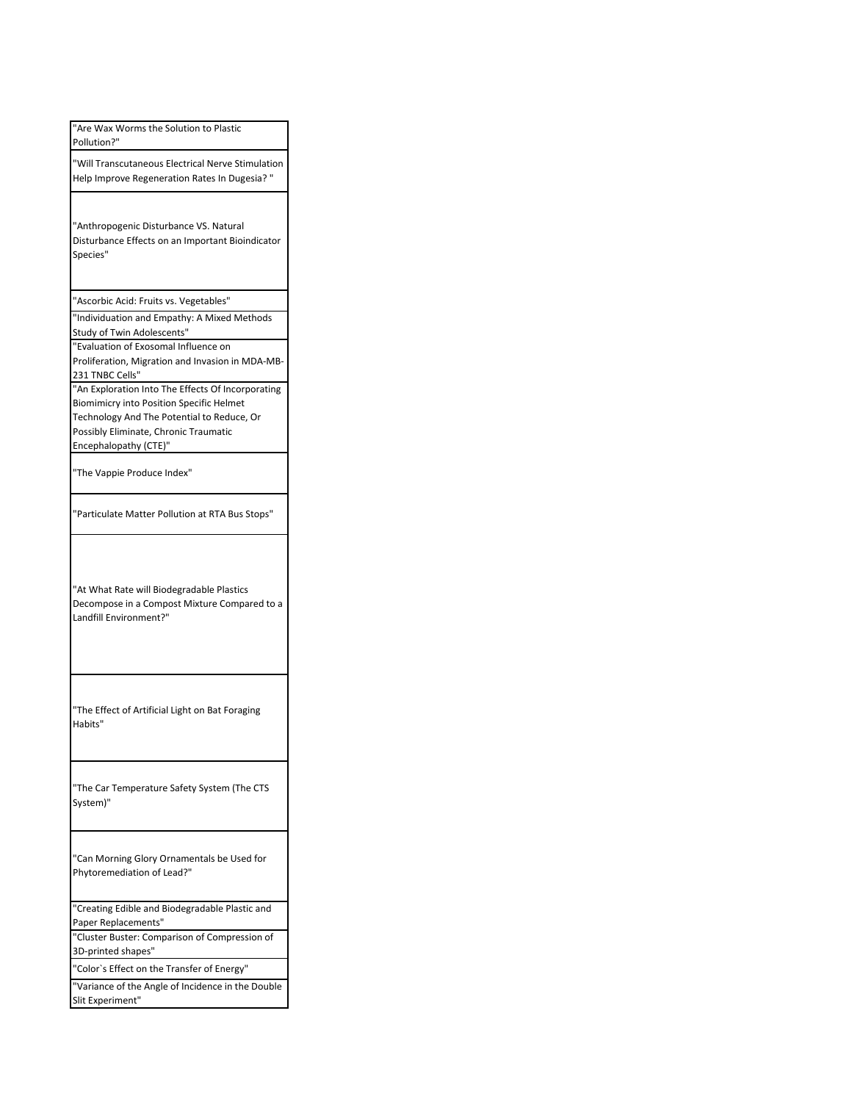| "Are Wax Worms the Solution to Plastic<br>Pollution?"                                                                                                                                                                |
|----------------------------------------------------------------------------------------------------------------------------------------------------------------------------------------------------------------------|
| "Will Transcutaneous Electrical Nerve Stimulation<br>Help Improve Regeneration Rates In Dugesia? "                                                                                                                   |
| "Anthropogenic Disturbance VS. Natural<br>Disturbance Effects on an Important Bioindicator<br>Species"                                                                                                               |
| "Ascorbic Acid: Fruits vs. Vegetables"                                                                                                                                                                               |
| "Individuation and Empathy: A Mixed Methods<br>Study of Twin Adolescents"                                                                                                                                            |
| "Evaluation of Exosomal Influence on<br>Proliferation, Migration and Invasion in MDA-MB-<br>231 TNBC Cells"                                                                                                          |
| "An Exploration Into The Effects Of Incorporating<br><b>Biomimicry into Position Specific Helmet</b><br>Technology And The Potential to Reduce, Or<br>Possibly Eliminate, Chronic Traumatic<br>Encephalopathy (CTE)" |
| "The Vappie Produce Index"                                                                                                                                                                                           |
| "Particulate Matter Pollution at RTA Bus Stops"                                                                                                                                                                      |
| "At What Rate will Biodegradable Plastics<br>Decompose in a Compost Mixture Compared to a<br>Landfill Environment?"                                                                                                  |
| "The Effect of Artificial Light on Bat Foraging<br>Habits"                                                                                                                                                           |
| "The Car Temperature Safety System (The CTS<br>System)"                                                                                                                                                              |
| "Can Morning Glory Ornamentals be Used for<br>Phytoremediation of Lead?"                                                                                                                                             |
| "Creating Edible and Biodegradable Plastic and<br>Paper Replacements"                                                                                                                                                |
| "Cluster Buster: Comparison of Compression of<br>3D-printed shapes"                                                                                                                                                  |
| "Color's Effect on the Transfer of Energy"<br>"Variance of the Angle of Incidence in the Double                                                                                                                      |
| Slit Experiment"                                                                                                                                                                                                     |